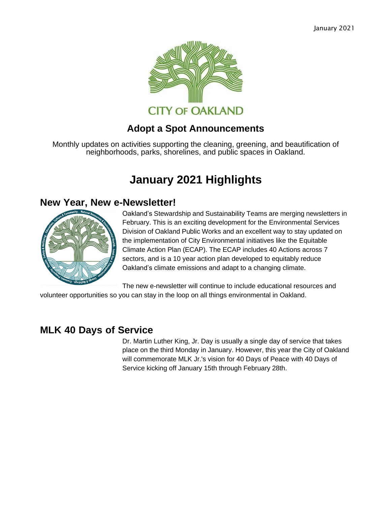

#### **Adopt a Spot Announcements**

Monthly updates on activities supporting the cleaning, greening, and beautification of neighborhoods, parks, shorelines, and public spaces in Oakland.

# **January 2021 Highlights**

#### **New Year, New e-Newsletter!**



Oakland's Stewardship and Sustainability Teams are merging newsletters in February. This is an exciting development for the Environmental Services Division of Oakland Public Works and an excellent way to stay updated on the implementation of City Environmental initiatives like the Equitable Climate Action Plan (ECAP). The ECAP includes 40 Actions across 7 sectors, and is a 10 year action plan developed to equitably reduce Oakland's climate emissions and adapt to a changing climate.

The new e-newsletter will continue to include educational resources and

volunteer opportunities so you can stay in the loop on all things environmental in Oakland.

#### **MLK 40 Days of Service**

Dr. Martin Luther King, Jr. Day is usually a single day of service that takes place on the third Monday in January. However, this year the City of Oakland will commemorate MLK Jr.'s vision for 40 Days of Peace with 40 Days of Service kicking off January 15th through February 28th.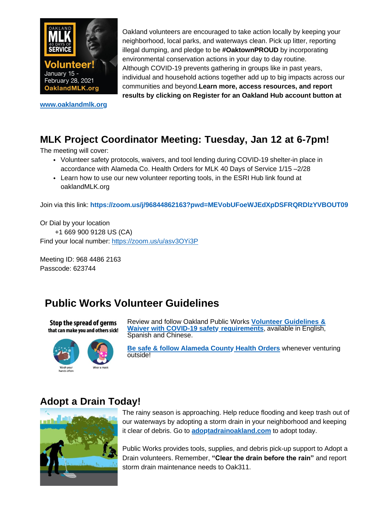

**[www.oaklandmlk.org](https://oaklandca19202.lt.acemlna.com/Prod/link-tracker?notrack=1&redirectUrl=aHR0cHMlM0ElMkYlMkZ3d3cub2FrbGFuZGNhLmdvdiUyRnRvcGljcyUyRm1say1kYXktb2Ytc2VydmljZQ%3D%3D&sig=FeHD6yZaaXq3uidMaerXMRvvr6PrbMVXLLZqb6VCF5op&iat=1632343985&a=799335011&account=oaklandca19202%2Eactivehosted%2Ecom&email=LRRV6glqIfcVPcYsJBrMHi%2FZD%2BmsUFpJrc5fHf6IoVE%3D&s=bad97c655476f96a390a72c05a742011&i=591A578A2A7795)**

Oakland volunteers are encouraged to take action locally by keeping your neighborhood, local parks, and waterways clean. Pick up litter, reporting illegal dumping, and pledge to be **#OaktownPROUD** by incorporating environmental conservation actions in your day to day routine. Although COVID-19 prevents gathering in groups like in past years, individual and household actions together add up to big impacts across our communities and beyond.**Learn more, access resources, and report results by clicking on Register for an Oakland Hub account button at**

# **MLK Project Coordinator Meeting: Tuesday, Jan 12 at 6-7pm!**

The meeting will cover:

- Volunteer safety protocols, waivers, and tool lending during COVID-19 shelter-in place in accordance with Alameda Co. Health Orders for MLK 40 Days of Service 1/15 –2/28
- Learn how to use our new volunteer reporting tools, in the ESRI Hub link found at oaklandMLK.org

Join via this link: **[https://zoom.us/j/96844862163?pwd=MEVobUFoeWJEdXpDSFRQRDlzYVBOUT09](https://oaklandca19202.lt.acemlna.com/Prod/link-tracker?notrack=1&redirectUrl=aHR0cHMlM0ElMkYlMkZ6b29tLnVzJTJGaiUyRjk2ODQ0ODYyMTYzJTNGcHdkJTNETUVWb2JVRm9lV0pFZFhwRFNGUlFSRGx6WVZCT1VUMDk%3D&sig=AEBVqo6EPNv6QQSqETPMmYLpvbnpu6kw9rKcWAu9fzDT&iat=1632343985&a=799335011&account=oaklandca19202%2Eactivehosted%2Ecom&email=LRRV6glqIfcVPcYsJBrMHi%2FZD%2BmsUFpJrc5fHf6IoVE%3D&s=bad97c655476f96a390a72c05a742011&i=591A578A2A7798)**

Or Dial by your location +1 669 900 9128 US (CA) Find your local number: [https://zoom.us/u/asv3OYi3P](https://oaklandca19202.lt.acemlna.com/Prod/link-tracker?notrack=1&redirectUrl=aHR0cHMlM0ElMkYlMkZ6b29tLnVzJTJGdSUyRmFzdjNPWWkzUA%3D%3D&sig=DbAtndTrFvQhTL6HVYUv1QLYnkwk7xxBeizKgH4qS5Xh&iat=1632343985&a=799335011&account=oaklandca19202%2Eactivehosted%2Ecom&email=LRRV6glqIfcVPcYsJBrMHi%2FZD%2BmsUFpJrc5fHf6IoVE%3D&s=bad97c655476f96a390a72c05a742011&i=591A578A2A7799)

Meeting ID: 968 4486 2163 Passcode: 623744

# **Public Works Volunteer Guidelines**





[Review and follow Oakland Public Works](https://oaklandca19202.lt.acemlna.com/Prod/link-tracker?notrack=1&redirectUrl=aHR0cCUzQSUyRiUyRnd3dy5vYWtsYW5kY2EuZ292JTJGcmVzb3VyY2VzJTJGcHVibGljLXdvcmtzLXZvbHVudGVlci1ndWlkZWxpbmVz&sig=GU2NdbjtRJ2BXyrDDpn3hU6h7QxFLoRc53q8GiTnCtNc&iat=1632343985&a=799335011&account=oaklandca19202%2Eactivehosted%2Ecom&email=LRRV6glqIfcVPcYsJBrMHi%2FZD%2BmsUFpJrc5fHf6IoVE%3D&s=bad97c655476f96a390a72c05a742011&i=591A578A2A7796) **Volunteer Guidelines & Waiver with COVID-19 safety [requirements](https://oaklandca19202.lt.acemlna.com/Prod/link-tracker?notrack=1&redirectUrl=aHR0cCUzQSUyRiUyRnd3dy5vYWtsYW5kY2EuZ292JTJGcmVzb3VyY2VzJTJGcHVibGljLXdvcmtzLXZvbHVudGVlci1ndWlkZWxpbmVz&sig=GU2NdbjtRJ2BXyrDDpn3hU6h7QxFLoRc53q8GiTnCtNc&iat=1632343985&a=799335011&account=oaklandca19202%2Eactivehosted%2Ecom&email=LRRV6glqIfcVPcYsJBrMHi%2FZD%2BmsUFpJrc5fHf6IoVE%3D&s=bad97c655476f96a390a72c05a742011&i=591A578A2A7796)**, available in English, Spanish and Chinese.

**[Be safe & follow Alameda County](https://oaklandca19202.lt.acemlna.com/Prod/link-tracker?notrack=1&redirectUrl=aHR0cCUzQSUyRiUyRmNvdmlkLTE5LmFjZ292Lm9yZyUyRmluZGV4LnBhZ2U%3D&sig=CrAofEZPr6Zkboka9RMAxWPwH2BAZUDexkTeozfsYKdi&iat=1632343985&a=799335011&account=oaklandca19202%2Eactivehosted%2Ecom&email=LRRV6glqIfcVPcYsJBrMHi%2FZD%2BmsUFpJrc5fHf6IoVE%3D&s=bad97c655476f96a390a72c05a742011&i=591A578A2A7797) Health Orders** whenever venturing outside!

#### **Adopt a Drain Today!**



The rainy season is approaching. Help reduce flooding and keep trash out of our waterways by adopting a storm drain in your neighborhood and keeping it clear of debris. Go to **[adoptadrainoakland.com](https://oaklandca19202.lt.acemlna.com/Prod/link-tracker?notrack=1&redirectUrl=aHR0cCUzQSUyRiUyRm9ha2xhbmRhZG9wdGFkcmFpbi5jb20lMkY%3D&sig=F26U1ke3gsp5QPNrzjyu5dRLCSeFM4eri6jKAxPECiBA&iat=1632343985&a=799335011&account=oaklandca19202%2Eactivehosted%2Ecom&email=LRRV6glqIfcVPcYsJBrMHi%2FZD%2BmsUFpJrc5fHf6IoVE%3D&s=bad97c655476f96a390a72c05a742011&i=591A578A2A7775)** to adopt today.

Public Works provides tools, supplies, and debris pick-up support to Adopt a Drain volunteers. Remember, **"Clear the drain before the rain"** and report storm drain maintenance needs to Oak311.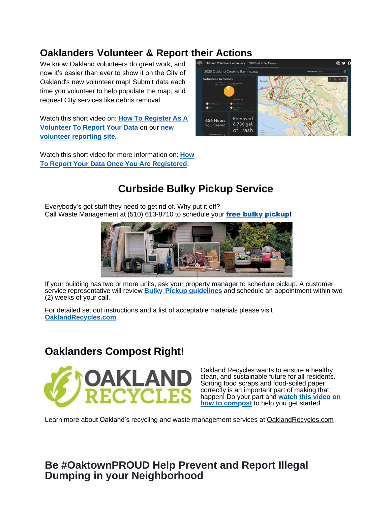# **Oaklanders Volunteer & Report their Actions**

We know Oakland volunteers do great work, and now it's easier than ever to show it on the City of Oakland's new volunteer map! Submit data each time you volunteer to help populate the map, and request City services like debris removal.

Watch this short video on: **How To [Register](https://oaklandca19202.lt.acemlna.com/Prod/link-tracker?notrack=1&redirectUrl=aHR0cHMlM0ElMkYlMkZkcml2ZS5nb29nbGUuY29tJTJGZmlsZSUyRmQlMkYxV3VHWXBUYmxTMjdHNFBXUGRNRXJTSjZ5VlZZVHFJd1QlMkZ2aWV3JTNGdXNwJTNEc2hhcmluZw%3D%3D&sig=H9mUfyM9CVMDLAJJMyFFQvE8qJ8xJud56nt9z8NFgRkz&iat=1632343985&a=799335011&account=oaklandca19202%2Eactivehosted%2Ecom&email=LRRV6glqIfcVPcYsJBrMHi%2FZD%2BmsUFpJrc5fHf6IoVE%3D&s=bad97c655476f96a390a72c05a742011&i=591A578A2A7776) As A [Volunteer To Report Your Data](https://oaklandca19202.lt.acemlna.com/Prod/link-tracker?notrack=1&redirectUrl=aHR0cHMlM0ElMkYlMkZvYWtsYW5kLXZvbHVudGVlci1jb21tdW5pdHktb2FrZ2lzLmh1Yi5hcmNnaXMuY29tJTJGcGFnZXMlMkZvYWtsYW5kLWNyZWVrLXRvLWJheS1jbGVhbnVw&sig=zV4HxurWJNvCbF4eoQPQMEuenKi7fMwAApEq7cAjzKZ&iat=1632343985&a=799335011&account=oaklandca19202%2Eactivehosted%2Ecom&email=LRRV6glqIfcVPcYsJBrMHi%2FZD%2BmsUFpJrc5fHf6IoVE%3D&s=bad97c655476f96a390a72c05a742011&i=591A578A2A7777)** on our **new volunteer [reporting site.](https://oaklandca19202.lt.acemlna.com/Prod/link-tracker?notrack=1&redirectUrl=aHR0cHMlM0ElMkYlMkZvYWtsYW5kLXZvbHVudGVlci1jb21tdW5pdHktb2FrZ2lzLmh1Yi5hcmNnaXMuY29tJTJGcGFnZXMlMkZvYWtsYW5kLWNyZWVrLXRvLWJheS1jbGVhbnVw&sig=zV4HxurWJNvCbF4eoQPQMEuenKi7fMwAApEq7cAjzKZ&iat=1632343985&a=799335011&account=oaklandca19202%2Eactivehosted%2Ecom&email=LRRV6glqIfcVPcYsJBrMHi%2FZD%2BmsUFpJrc5fHf6IoVE%3D&s=bad97c655476f96a390a72c05a742011&i=591A578A2A7777)**

Watch this short video for more [information](https://oaklandca19202.lt.acemlna.com/Prod/link-tracker?notrack=1&redirectUrl=aHR0cHMlM0ElMkYlMkZkcml2ZS5nb29nbGUuY29tJTJGZmlsZSUyRmQlMkYxUXhZVkd3aUIwVWZGbTNBcGpRVHN6c1N6NW5lOUxzaUMlMkZ2aWV3JTNGdXNwJTNEc2hhcmluZw%3D%3D&sig=EYd6GAjn97gCacSRHDymesB8rYATxaBTwNypfShr7i23&iat=1632343985&a=799335011&account=oaklandca19202%2Eactivehosted%2Ecom&email=LRRV6glqIfcVPcYsJBrMHi%2FZD%2BmsUFpJrc5fHf6IoVE%3D&s=bad97c655476f96a390a72c05a742011&i=591A578A2A7778) on: **How To Report Your Data Once You Are [Registered](https://oaklandca19202.lt.acemlna.com/Prod/link-tracker?notrack=1&redirectUrl=aHR0cHMlM0ElMkYlMkZkcml2ZS5nb29nbGUuY29tJTJGZmlsZSUyRmQlMkYxUXhZVkd3aUIwVWZGbTNBcGpRVHN6c1N6NW5lOUxzaUMlMkZ2aWV3JTNGdXNwJTNEc2hhcmluZw%3D%3D&sig=EYd6GAjn97gCacSRHDymesB8rYATxaBTwNypfShr7i23&iat=1632343985&a=799335011&account=oaklandca19202%2Eactivehosted%2Ecom&email=LRRV6glqIfcVPcYsJBrMHi%2FZD%2BmsUFpJrc5fHf6IoVE%3D&s=bad97c655476f96a390a72c05a742011&i=591A578A2A7778)**.



# **Curbside Bulky Pickup Service**

Everybody's got stuff they need to get rid of. Why put it off? Call Waste Management at (510) 613-8710 to schedule your free bulky [pickup!](https://oaklandca19202.lt.acemlna.com/Prod/link-tracker?notrack=1&redirectUrl=aHR0cHMlM0ElMkYlMkZ5b3V0dS5iZSUyRmI5SmU3V1VGbExF&sig=79i3sPwzhYAyNpWaLqkWQenPtw9njTF6mcuvcJAxMf2D&iat=1632343985&a=799335011&account=oaklandca19202%2Eactivehosted%2Ecom&email=LRRV6glqIfcVPcYsJBrMHi%2FZD%2BmsUFpJrc5fHf6IoVE%3D&s=bad97c655476f96a390a72c05a742011&i=591A578A2A7788)



If your building has two or more units, ask your property manager to schedule pickup. A customer service representative will review **Bulky Pickup [guidelines](https://oaklandca19202.lt.acemlna.com/Prod/link-tracker?notrack=1&redirectUrl=aHR0cHMlM0ElMkYlMkZ3d3cub2FrbGFuZHJlY3ljbGVzLmNvbSUyRmJ1bGt5LXBpY2t1cC1zZXJ2aWNlcyUyRg%3D%3D&sig=DvGGHVDgUqnKznXxAG6g7CJvMtyBjaorWNnsPARYd4c8&iat=1632343985&a=799335011&account=oaklandca19202%2Eactivehosted%2Ecom&email=LRRV6glqIfcVPcYsJBrMHi%2FZD%2BmsUFpJrc5fHf6IoVE%3D&s=bad97c655476f96a390a72c05a742011&i=591A578A2A7789)** and schedule an appointment within two (2) weeks of your call.

For detailed set out instructions and a list of acceptable materials please visit **[OaklandRecycles.com](https://oaklandca19202.lt.acemlna.com/Prod/link-tracker?notrack=1&redirectUrl=aHR0cHMlM0ElMkYlMkZ3d3cub2FrbGFuZHJlY3ljbGVzLmNvbSUyRmJ1bGt5LXBpY2t1cC1zZXJ2aWNlcyUyRg%3D%3D&sig=DvGGHVDgUqnKznXxAG6g7CJvMtyBjaorWNnsPARYd4c8&iat=1632343985&a=799335011&account=oaklandca19202%2Eactivehosted%2Ecom&email=LRRV6glqIfcVPcYsJBrMHi%2FZD%2BmsUFpJrc5fHf6IoVE%3D&s=bad97c655476f96a390a72c05a742011&i=591A578A2A7789)**.

#### **Oaklanders Compost Right!**



Oakland Recycles wants to ensure a healthy, clean, and sustainable future for all residents. Sorting food scraps and food-soiled paper correctly is an important part of making that [happen! Do your part and](https://oaklandca19202.lt.acemlna.com/Prod/link-tracker?notrack=1&redirectUrl=aHR0cHMlM0ElMkYlMkZ3d3cueW91dHViZS5jb20lMkZ3YXRjaCUzRnYlM0REZ252YlB3NHY1TSUyNmZlYXR1cmUlM0R5b3V0dS5iZQ%3D%3D&sig=EgBVHE8EMZnUdutwE5wuqZzD6s6VCsaoGMZXh77VyktX&iat=1632343985&a=799335011&account=oaklandca19202%2Eactivehosted%2Ecom&email=LRRV6glqIfcVPcYsJBrMHi%2FZD%2BmsUFpJrc5fHf6IoVE%3D&s=bad97c655476f96a390a72c05a742011&i=591A578A2A7790) **watch this video on how to compost** [to help you get started.](https://oaklandca19202.lt.acemlna.com/Prod/link-tracker?notrack=1&redirectUrl=aHR0cHMlM0ElMkYlMkZ3d3cueW91dHViZS5jb20lMkZ3YXRjaCUzRnYlM0REZ252YlB3NHY1TSUyNmZlYXR1cmUlM0R5b3V0dS5iZQ%3D%3D&sig=EgBVHE8EMZnUdutwE5wuqZzD6s6VCsaoGMZXh77VyktX&iat=1632343985&a=799335011&account=oaklandca19202%2Eactivehosted%2Ecom&email=LRRV6glqIfcVPcYsJBrMHi%2FZD%2BmsUFpJrc5fHf6IoVE%3D&s=bad97c655476f96a390a72c05a742011&i=591A578A2A7790)

Learn more about Oakland's recycling and waste management services at [OaklandRecycles.com](https://oaklandca19202.lt.acemlna.com/Prod/link-tracker?notrack=1&redirectUrl=aHR0cCUzQSUyRiUyRnd3dy5vYWtsYW5kcmVjeWNsZXMuY29tJTJG&sig=FvtuDxr3xjhPqP9KqYcxNWiZ66GVrPHYjgjiJ5mv3gSr&iat=1632343985&a=799335011&account=oaklandca19202%2Eactivehosted%2Ecom&email=LRRV6glqIfcVPcYsJBrMHi%2FZD%2BmsUFpJrc5fHf6IoVE%3D&s=bad97c655476f96a390a72c05a742011&i=591A578A2A7791)

### **Be #OaktownPROUD Help Prevent and Report Illegal Dumping in your Neighborhood**